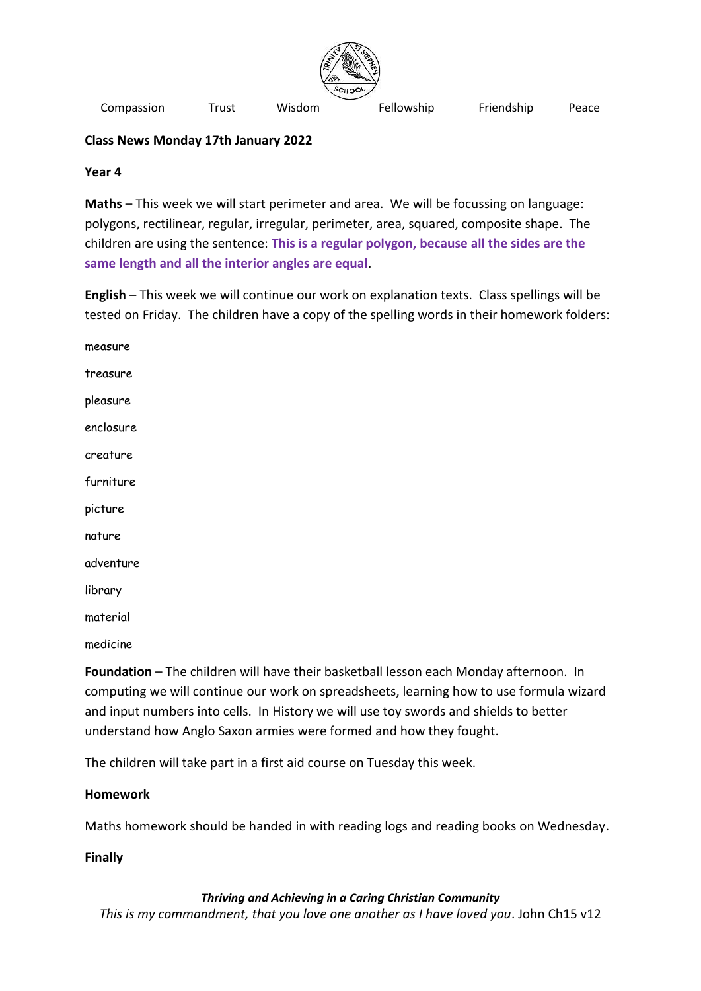

Compassion Trust Wisdom Fellowship Friendship Peace

# **Class News Monday 17th January 2022**

### **Year 4**

**Maths** – This week we will start perimeter and area. We will be focussing on language: polygons, rectilinear, regular, irregular, perimeter, area, squared, composite shape. The children are using the sentence: **This is a regular polygon, because all the sides are the same length and all the interior angles are equal**.

**English** – This week we will continue our work on explanation texts. Class spellings will be tested on Friday. The children have a copy of the spelling words in their homework folders:

measure treasure pleasure enclosure creature furniture picture nature adventure library material medicine

**Foundation** – The children will have their basketball lesson each Monday afternoon. In computing we will continue our work on spreadsheets, learning how to use formula wizard and input numbers into cells. In History we will use toy swords and shields to better understand how Anglo Saxon armies were formed and how they fought.

The children will take part in a first aid course on Tuesday this week.

## **Homework**

Maths homework should be handed in with reading logs and reading books on Wednesday.

## **Finally**

## *Thriving and Achieving in a Caring Christian Community*

*This is my commandment, that you love one another as I have loved you*. John Ch15 v12